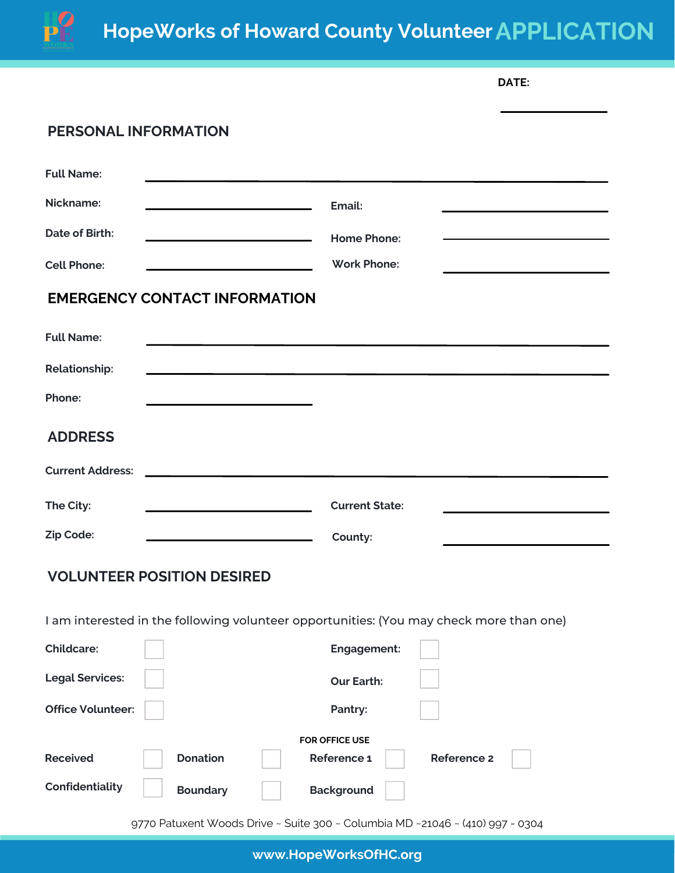

## **HopeWorks of Howard County VolunteerAPPLICATION**

|                             |                                                                  |                                                                                         | DATE:              |
|-----------------------------|------------------------------------------------------------------|-----------------------------------------------------------------------------------------|--------------------|
| <b>PERSONAL INFORMATION</b> |                                                                  |                                                                                         |                    |
| <b>Full Name:</b>           |                                                                  |                                                                                         |                    |
| Nickname:                   | <u> 1989 - Johann Stein, mars an t-Amerikaansk kommunister (</u> | Email:                                                                                  |                    |
| <b>Date of Birth:</b>       |                                                                  | <b>Home Phone:</b>                                                                      |                    |
| <b>Cell Phone:</b>          |                                                                  | <b>Work Phone:</b>                                                                      |                    |
|                             | <b>EMERGENCY CONTACT INFORMATION</b>                             |                                                                                         |                    |
| <b>Full Name:</b>           |                                                                  |                                                                                         |                    |
| <b>Relationship:</b>        |                                                                  |                                                                                         |                    |
| Phone:                      |                                                                  |                                                                                         |                    |
| <b>ADDRESS</b>              |                                                                  |                                                                                         |                    |
| <b>Current Address:</b>     |                                                                  |                                                                                         |                    |
| The City:                   |                                                                  | <b>Current State:</b>                                                                   |                    |
| Zip Code:                   |                                                                  | County:                                                                                 |                    |
|                             | <b>VOLUNTEER POSITION DESIRED</b>                                |                                                                                         |                    |
|                             |                                                                  | I am interested in the following volunteer opportunities: (You may check more than one) |                    |
| <b>Childcare:</b>           |                                                                  | Engagement:                                                                             |                    |
| <b>Legal Services:</b>      |                                                                  | <b>Our Earth:</b>                                                                       |                    |
| <b>Office Volunteer:</b>    |                                                                  | Pantry:                                                                                 |                    |
|                             |                                                                  | FOR OFFICE USE                                                                          |                    |
| <b>Received</b>             | <b>Donation</b>                                                  | Reference 1                                                                             | <b>Reference 2</b> |
| Confidentiality             | <b>Boundary</b>                                                  | <b>Background</b>                                                                       |                    |

9770 Patuxent Woods Drive ~ Suite 300 ~ Columbia MD ~21046 ~ (410) 997 - 0304

**www.HopeWorksOfHC.org**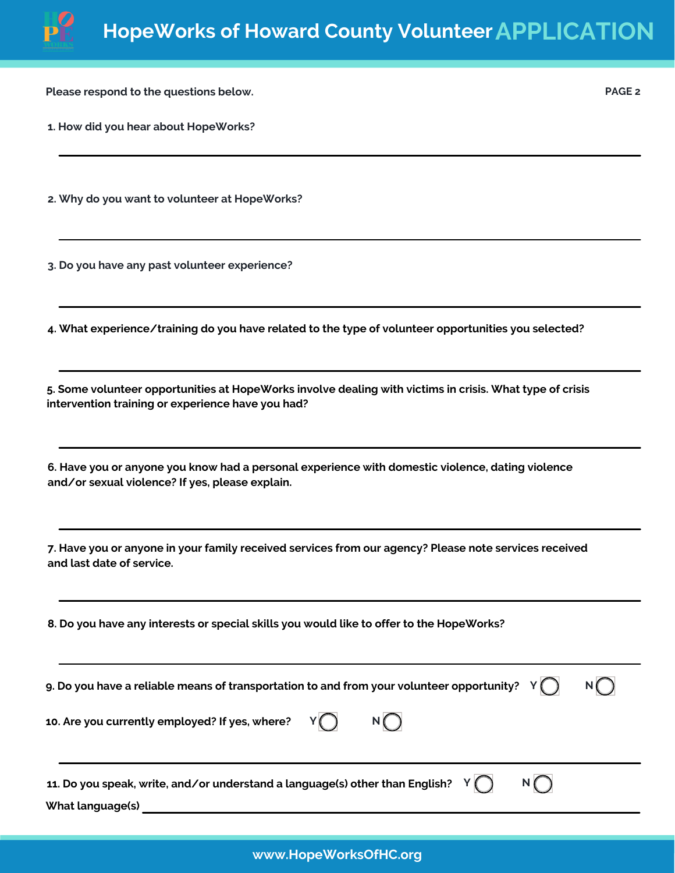

**PAGE 2**

**Please respond to the questions below.**

**1. How did you hear about HopeWorks?**

**2. Why do you want to volunteer at HopeWorks?**

**3. Do you have any past volunteer experience?**

**4. What experience/training do you have related to the type of volunteer opportunities you selected?**

**5. Some volunteer opportunities at HopeWorks involve dealing with victims in crisis. What type of crisis intervention training or experience have you had?**

**6. Have you or anyone you know had a personal experience with domestic violence, dating violence and/or sexual violence? If yes, please explain.**

**7. Have you or anyone in your family received services from our agency? Please note services received and last date of service.**

**8. Do you have any interests or special skills you would like to offer to the HopeWorks?**

| 9. Do you have a reliable means of transportation to and from your volunteer opportunity? $Y(\bigcap$               |  |
|---------------------------------------------------------------------------------------------------------------------|--|
| 10. Are you currently employed? If yes, where? $Y(\bigcap$<br>N( )                                                  |  |
| 11. Do you speak, write, and/or understand a language(s) other than English? $Y(\bigcap$<br>N()<br>What language(s) |  |